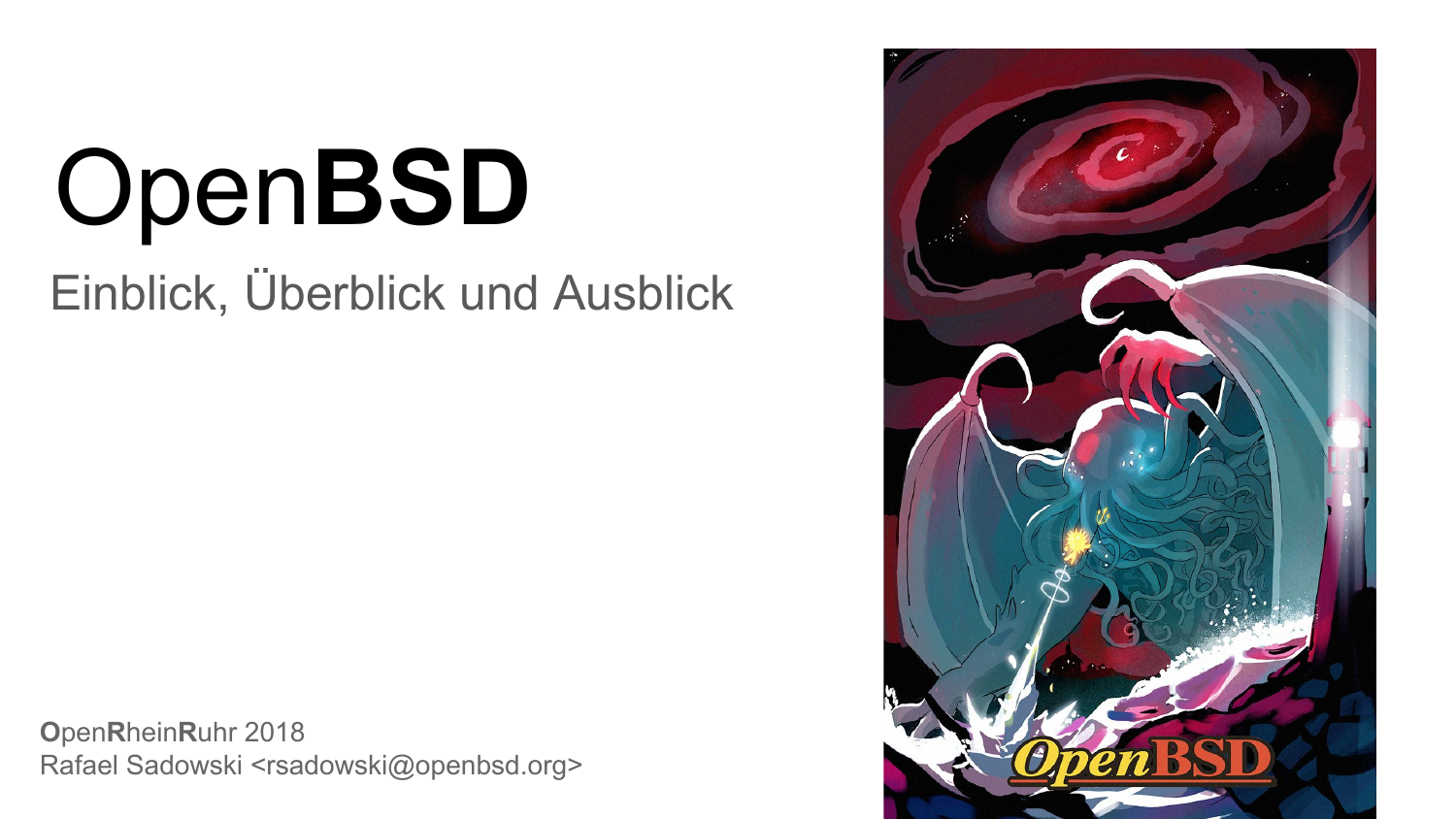# Open**BSD**

Einblick, Überblick und Ausblick

**O**pen**R**hein**R**uhr 2018 Rafael Sadowski <rsadowski@openbsd.org>

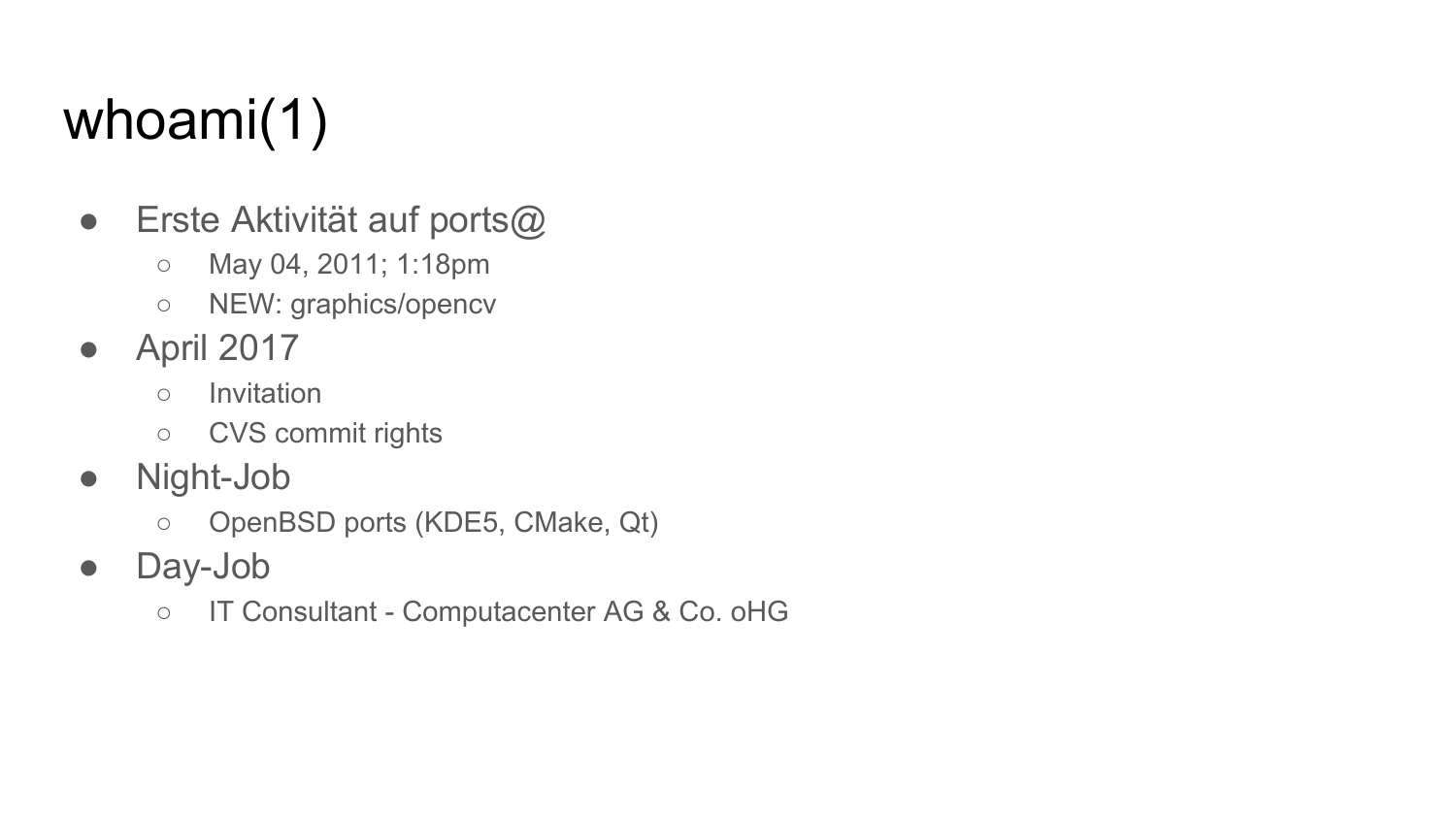## whoami(1)

- Erste Aktivität auf ports@
	- May 04, 2011; 1:18pm
	- NEW: graphics/opencv
- April 2017
	- Invitation
	- CVS commit rights
- Night-Job
	- OpenBSD ports (KDE5, CMake, Qt)
- Day-Job
	- IT Consultant Computacenter AG & Co. oHG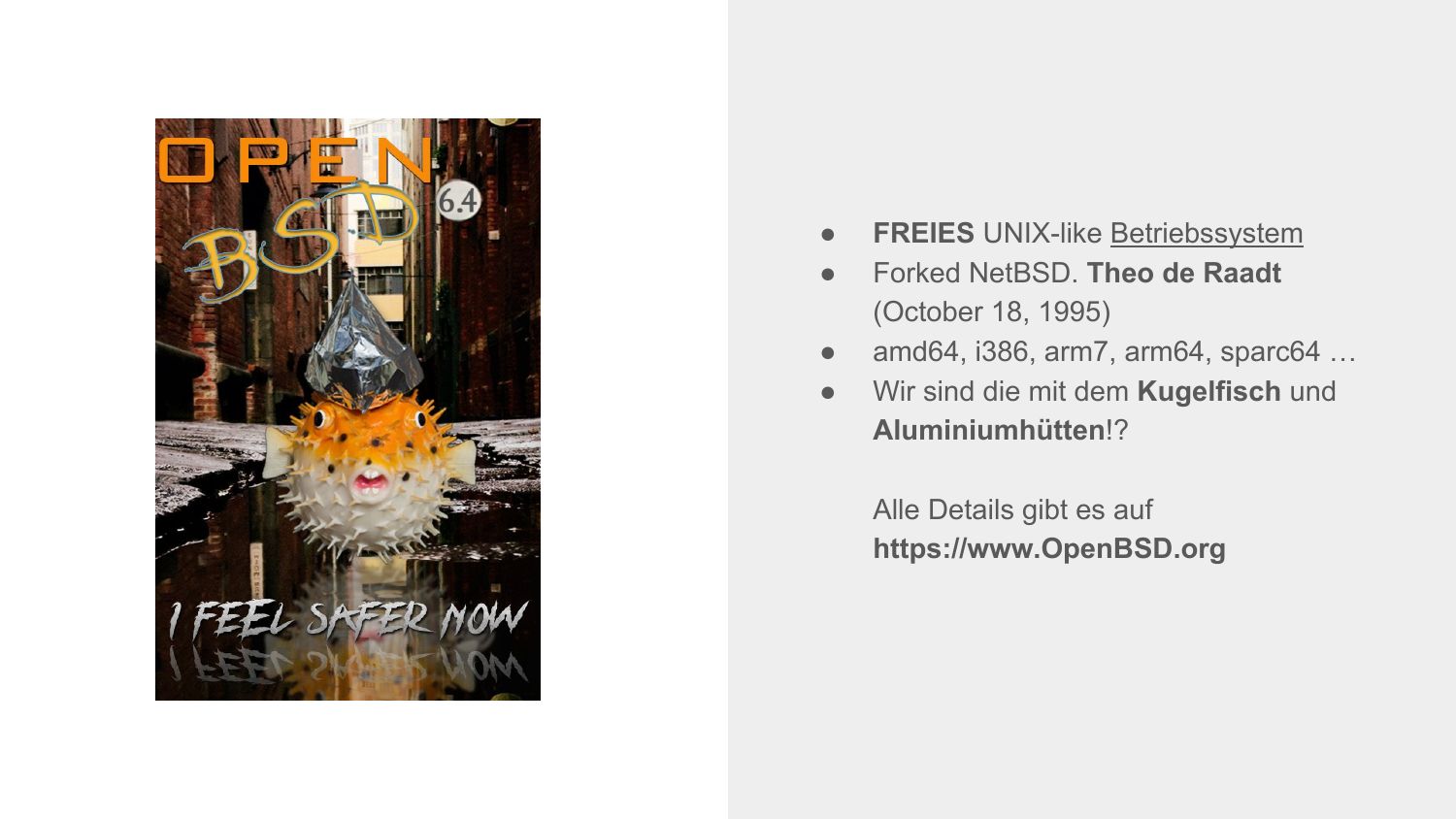

- **FREIES** UNIX-like Betriebssystem
- Forked NetBSD. **Theo de Raadt** (October 18, 1995)
- amd64, i386, arm7, arm64, sparc64 ...
- Wir sind die mit dem **Kugelfisch** und **Aluminiumhütten**!?

Alle Details gibt es auf **https://www.OpenBSD.org**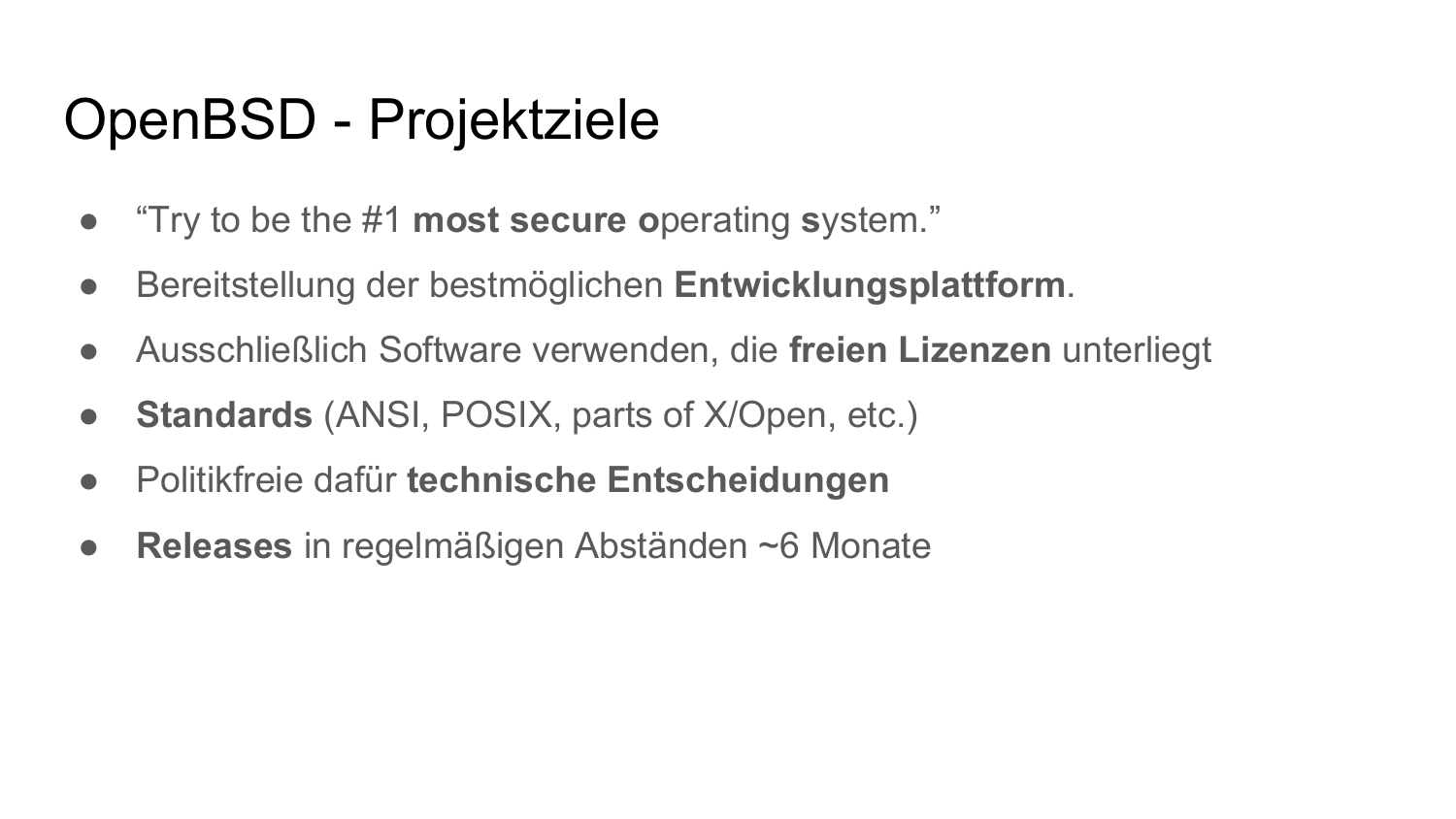#### OpenBSD - Projektziele

- "Try to be the #1 **most secure o**perating **s**ystem."
- Bereitstellung der bestmöglichen **Entwicklungsplattform**.
- Ausschließlich Software verwenden, die **freien Lizenzen** unterliegt
- **Standards** (ANSI, POSIX, parts of X/Open, etc.)
- Politikfreie dafür **technische Entscheidungen**
- **Releases** in regelmäßigen Abständen ~6 Monate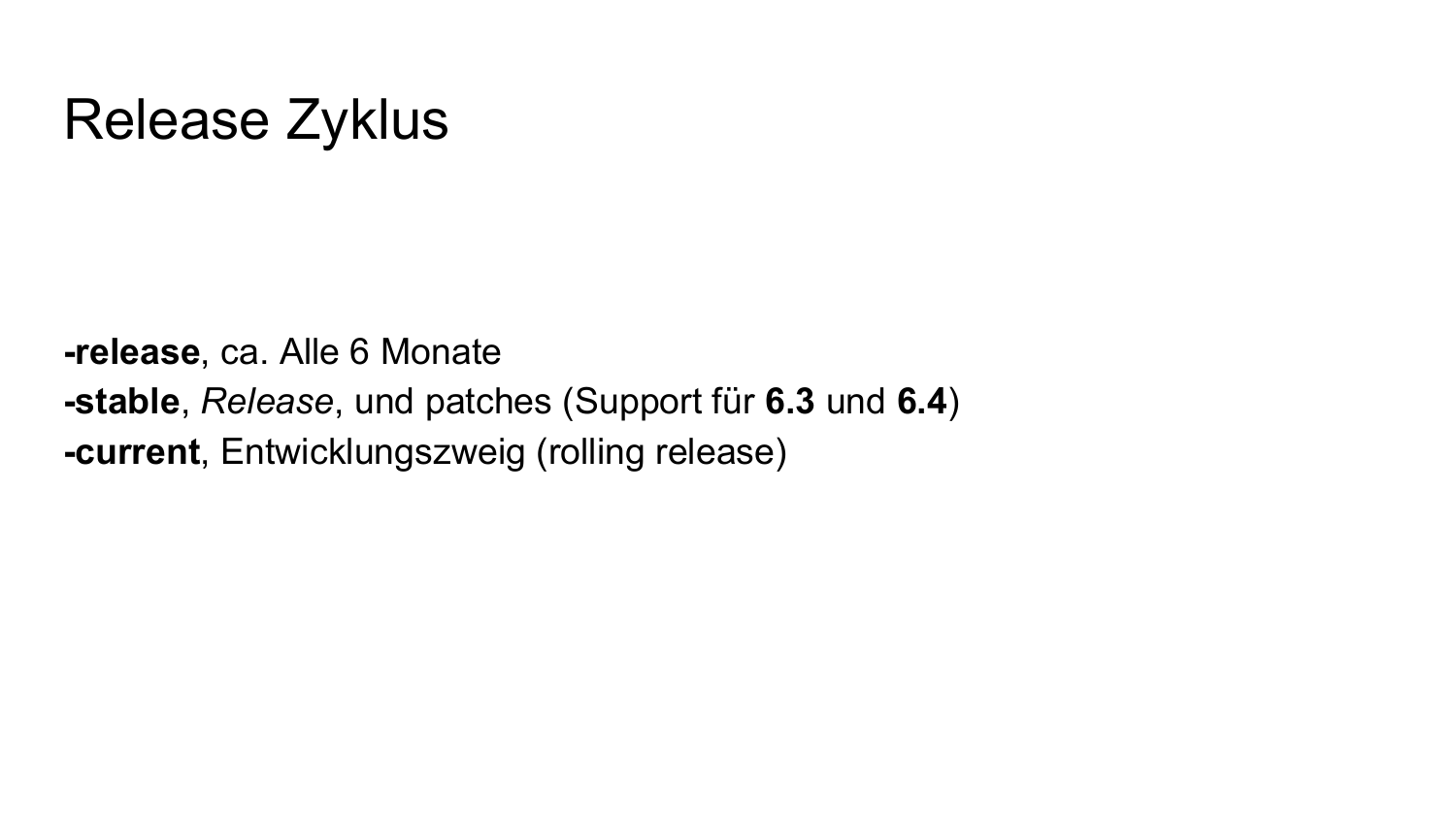#### Release Zyklus

**-release**, ca. Alle 6 Monate **-stable**, *Release*, und patches (Support für **6.3** und **6.4**) **-current**, Entwicklungszweig (rolling release)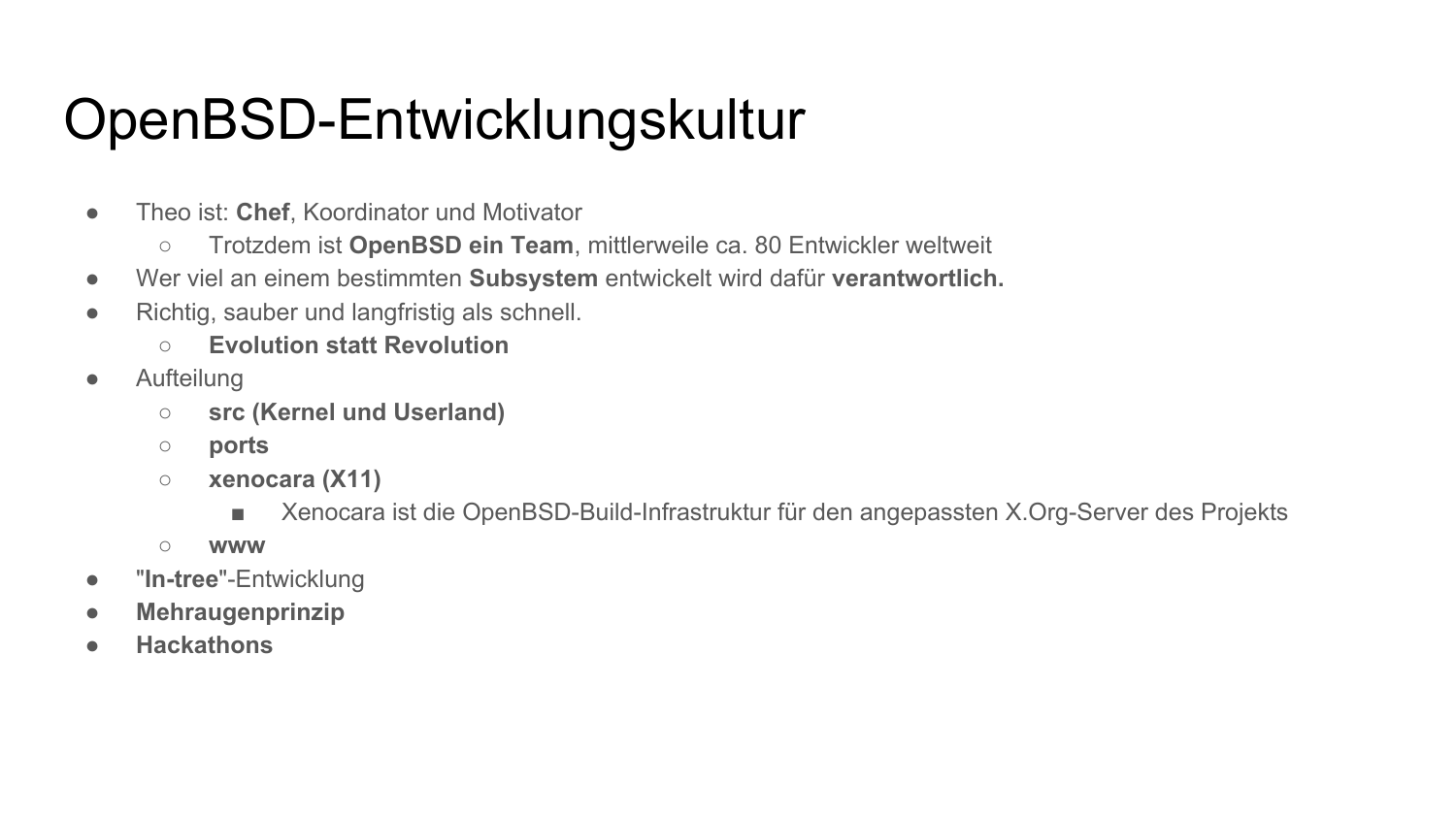#### OpenBSD-Entwicklungskultur

- Theo ist: **Chef**, Koordinator und Motivator
	- Trotzdem ist **OpenBSD ein Team**, mittlerweile ca. 80 Entwickler weltweit
- Wer viel an einem bestimmten **Subsystem** entwickelt wird dafür **verantwortlich.**
- Richtig, sauber und langfristig als schnell.
	- **○ Evolution statt Revolution**
- Aufteilung
	- **○ src (Kernel und Userland)**
	- **○ ports**
	- **○ xenocara (X11)**
		- Xenocara ist die OpenBSD-Build-Infrastruktur für den angepassten X.Org-Server des Projekts
	- **○ www**
- "**In-tree**"-Entwicklung
- **Mehraugenprinzip**
- **● Hackathons**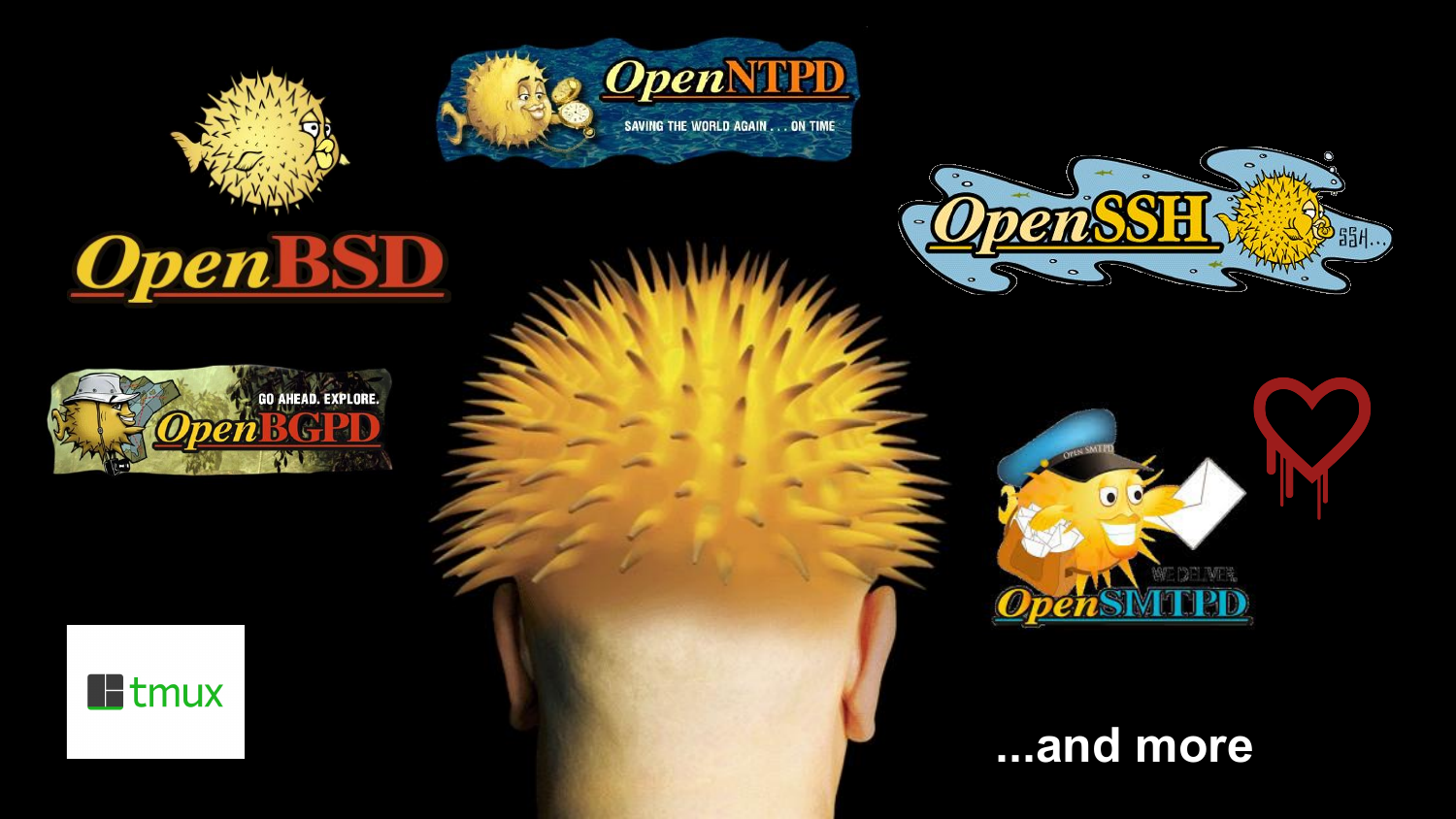

**OpenBSD** 











#### **...and more**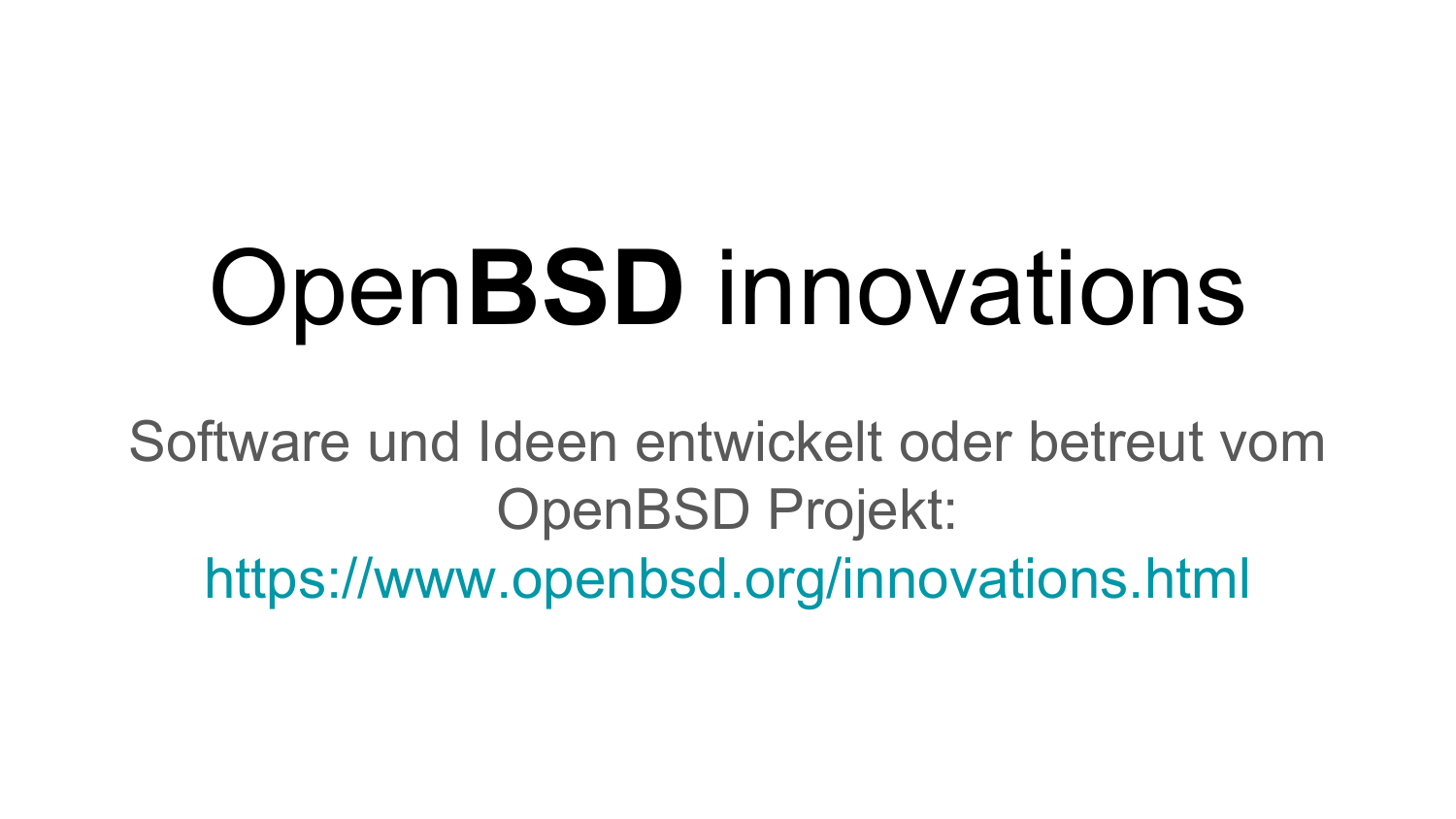## Open**BSD** innovations

Software und Ideen entwickelt oder betreut vom OpenBSD Projekt: [https://www.openbsd.org/innovations.html](http://www.openbsd.org/innovations.html)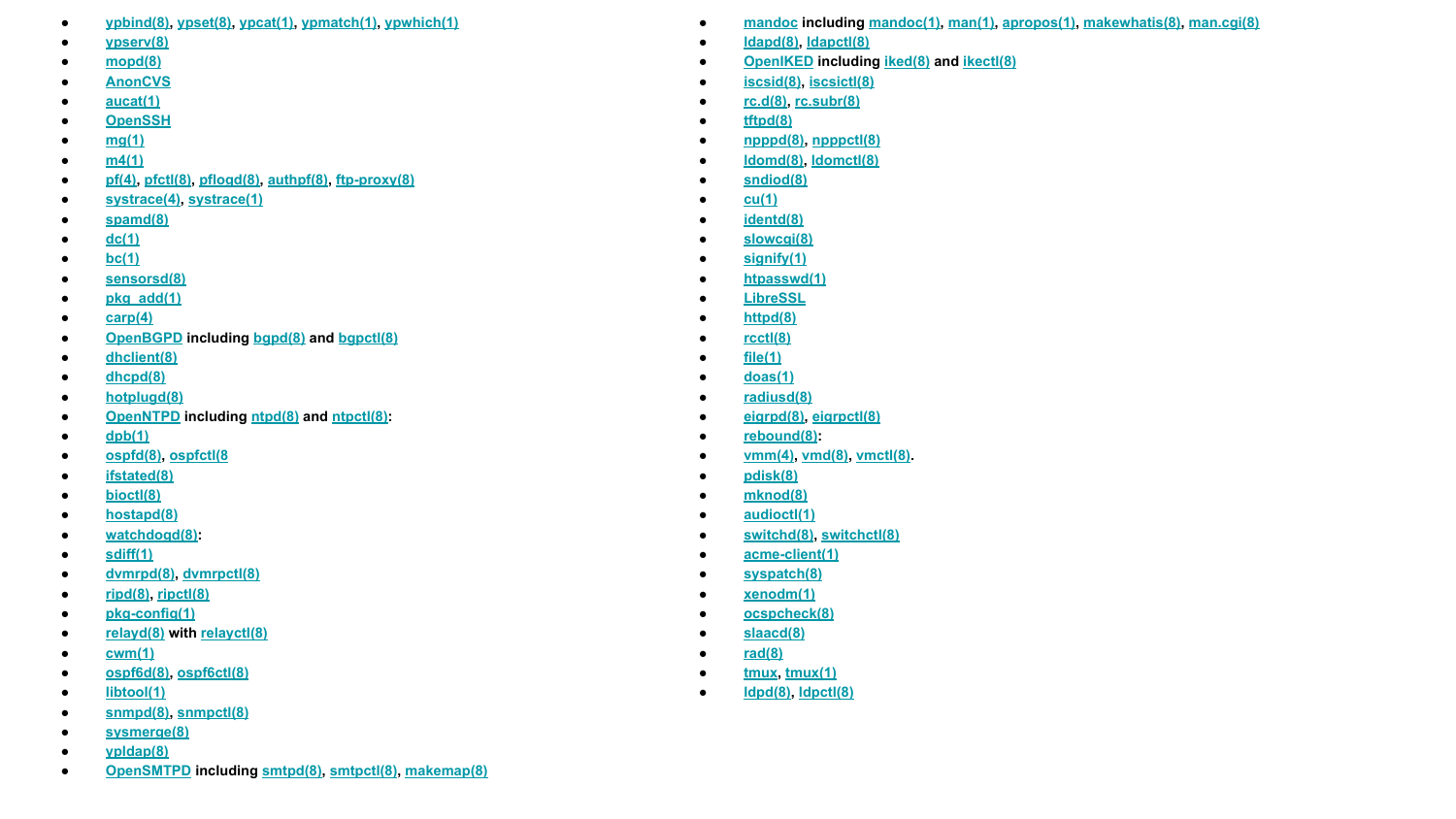- **● [ypbind\(8\),](https://man.openbsd.org/ypbind.8) [ypset\(8\),](https://man.openbsd.org/ypset.8) [ypcat\(1\)](https://man.openbsd.org/ypcat.1)[, ypmatch\(1\)](https://man.openbsd.org/ypmatch.1)[, ypwhich\(1\)](https://man.openbsd.org/ypwhich.1)**
- **● [ypserv\(8\)](https://man.openbsd.org/ypserv.8)**
- **● [mopd\(8\)](https://man.openbsd.org/mopd.8)**
- **● [AnonCVS](http://www.openbsd.org/anoncvs.html)**
- **● [aucat\(1\)](https://man.openbsd.org/aucat.1)**
- **● [OpenSSH](https://www.openssh.com/)**
- **● [mg\(1\)](https://man.openbsd.org/mg.1)**
- **● [m4\(1\)](https://man.openbsd.org/m4.1)**
- **● [pf\(4\)](https://man.openbsd.org/pf.4)[, pfctl\(8\),](https://man.openbsd.org/pfctl.8) [pflogd\(8\)](https://man.openbsd.org/pflogd.8)[, authpf\(8\)](https://man.openbsd.org/authpf.8)[, ftp-proxy\(8\)](https://man.openbsd.org/ftp-proxy.8)**
- **● [systrace\(4\)](https://man.openbsd.org/OpenBSD-5.9/systrace.4)[, systrace\(1\)](https://man.openbsd.org/OpenBSD-5.9/systrace.1)**
- **● [spamd\(8\)](https://man.openbsd.org/spamd.8)**
- **● [dc\(1\)](https://man.openbsd.org/dc.1)**
- **● [bc\(1\)](https://man.openbsd.org/bc.1)**
- **● [sensorsd\(8\)](https://man.openbsd.org/sensorsd.8)**
- **● [pkg\\_add\(1\)](https://man.openbsd.org/pkg_add.1)**
- **● [carp\(4\)](https://man.openbsd.org/carp.4)**
- **● [OpenBGPD](http://www.openbgpd.org/) includin[g bgpd\(8\)](https://man.openbsd.org/bgpd.8) an[d bgpctl\(8\)](https://man.openbsd.org/bgpctl.8)**
- **● [dhclient\(8\)](https://man.openbsd.org/dhclient.8)**
- **● [dhcpd\(8\)](https://man.openbsd.org/dhcpd.8)**
- **● [hotplugd\(8\)](https://man.openbsd.org/hotplugd.8)**
- **● [OpenNTPD](http://www.openntpd.org/) includin[g ntpd\(8\)](https://man.openbsd.org/ntpd.8) an[d ntpctl\(8\):](https://man.openbsd.org/ntpctl.8)**
- **● [dpb\(1\)](https://man.openbsd.org/dpb.1)**
- **● [ospfd\(8\),](https://man.openbsd.org/ospfd.8) [ospfctl\(8](https://man.openbsd.org/ospfctl.8)**
- **● [ifstated\(8\)](https://man.openbsd.org/ifstated.8)**
- **● [bioctl\(8\)](https://man.openbsd.org/bioctl.8)**
- **● [hostapd\(8\)](https://man.openbsd.org/hostapd.8)**
- **● [watchdogd\(8\):](https://man.openbsd.org/watchdogd.8)**
- **● [sdiff\(1\)](https://man.openbsd.org/sdiff.1)**
- **● [dvmrpd\(8\),](https://man.openbsd.org/dvmrpd.8) [dvmrpctl\(8\)](https://man.openbsd.org/dvmrpctl.8)**
- **● [ripd\(8\)](https://man.openbsd.org/ripd.8)[, ripctl\(8\)](https://man.openbsd.org/ripctl.8)**
- **● [pkg-config\(1\)](https://man.openbsd.org/pkg-config.1)**
- **● [relayd\(8\)](https://man.openbsd.org/relayd.8) wit[h relayctl\(8\)](https://man.openbsd.org/relayctl.8)**
- **● [cwm\(1\)](https://man.openbsd.org/cwm.1)**
- **● [ospf6d\(8\),](https://man.openbsd.org/ospf6d.8) [ospf6ctl\(8\)](https://man.openbsd.org/ospf6ctl.8)**
- **● [libtool\(1\)](https://man.openbsd.org/libtool.1)**
- **● [snmpd\(8\),](https://man.openbsd.org/snmpd.8) [snmpctl\(8\)](https://man.openbsd.org/snmpctl.8)**
- **● [sysmerge\(8\)](https://man.openbsd.org/sysmerge.8)**
- **● [ypldap\(8\)](https://man.openbsd.org/ypldap.8)**
- **● [OpenSMTPD](https://www.opensmtpd.org/) including [smtpd\(8\)](https://man.openbsd.org/smtpd.8)[, smtpctl\(8\),](https://man.openbsd.org/smtpctl.8) [makemap\(8\)](https://man.openbsd.org/makemap.8)**
- **● [mandoc](http://mdocml.bsd.lv/) including [mandoc\(1\),](https://man.openbsd.org/mandoc.1) [man\(1\),](https://man.openbsd.org/man.1) [apropos\(1\),](https://man.openbsd.org/apropos.1) [makewhatis\(8\),](https://man.openbsd.org/makewhatis.8) [man.cgi\(8\)](https://man.openbsd.org/man.cgi.8)**
- **● [ldapd\(8\)](https://man.openbsd.org/ldapd.8), [ldapctl\(8\)](https://man.openbsd.org/ldapctl.8)**
- **● [OpenIKED](http://www.openiked.org/) includin[g iked\(8\)](https://man.openbsd.org/iked.8) an[d ikectl\(8\)](https://man.openbsd.org/ikectl.8)**
- **● [iscsid\(8\)](https://man.openbsd.org/iscsid.8)[, iscsictl\(8\)](https://man.openbsd.org/iscsictl.8)**
- **● [rc.d\(8\)](https://man.openbsd.org/rc.d.8)[, rc.subr\(8\)](https://man.openbsd.org/rc.subr.8)**
- **● [tftpd\(8\)](https://man.openbsd.org/tftpd.8)**
- **● [npppd\(8\),](https://man.openbsd.org/npppd.8) [npppctl\(8\)](https://man.openbsd.org/npppctl.8)**
- **● [ldomd\(8\)](https://man.openbsd.org/ldomd.8)[, ldomctl\(8\)](https://man.openbsd.org/ldomctl.8)**
- **● [sndiod\(8\)](https://man.openbsd.org/sndiod.8)**
- **● [cu\(1\)](https://man.openbsd.org/cu.1)**
- **● [identd\(8\)](https://man.openbsd.org/identd.8)**
- **● [slowcgi\(8\)](https://man.openbsd.org/slowcgi.8)**
- **● [signify\(1\)](https://man.openbsd.org/signify.1)**
- **● [htpasswd\(1\)](https://man.openbsd.org/htpasswd.1)**
- **● [LibreSSL](https://www.libressl.org/)**
- **● [httpd\(8\)](https://man.openbsd.org/httpd.8)**
- **● [rcctl\(8\)](https://man.openbsd.org/rcctl.8)**
- **● [file\(1\)](https://man.openbsd.org/file.1)**
- **● [doas\(1\)](https://man.openbsd.org/doas.1)**
- **● [radiusd\(8\)](https://man.openbsd.org/radiusd.8)**
- **● [eigrpd\(8\),](https://man.openbsd.org/eigrpd.8) [eigrpctl\(8\)](https://man.openbsd.org/eigrpctl.8)**
- **● [rebound\(8\)](https://man.openbsd.org/rebound.8):**
- **● [vmm\(4\),](https://man.openbsd.org/vmm.4) [vmd\(8\),](https://man.openbsd.org/vmd.8) [vmctl\(8\)](https://man.openbsd.org/vmctl.8).**
- **● [pdisk\(8\)](https://man.openbsd.org/pdisk.8)**
- **● [mknod\(8\)](https://man.openbsd.org/mknod.8)**
- **● [audioctl\(1\)](https://man.openbsd.org/audioctl.1)**
- **● [switchd\(8\)](https://man.openbsd.org/switchd.8)[, switchctl\(8\)](https://man.openbsd.org/switchctl.8)**
- **● [acme-client\(1\)](https://man.openbsd.org/acme-client.1)**
- **● [syspatch\(8\)](https://man.openbsd.org/syspatch.8)**
- **● [xenodm\(1\)](https://man.openbsd.org/xenodm.1)**
- **● [ocspcheck\(8\)](https://man.openbsd.org/ocspcheck.8)**
- **● [slaacd\(8\)](https://man.openbsd.org/slaacd.8)**
- **● [rad\(8\)](https://man.openbsd.org/rad.8)**
- **● [tmux](http://tmux.github.io/)[, tmux\(1\)](https://man.openbsd.org/tmux.1)**
- **● [ldpd\(8\)](https://man.openbsd.org/ldpd.8)[, ldpctl\(8\)](https://man.openbsd.org/ldpctl.8)**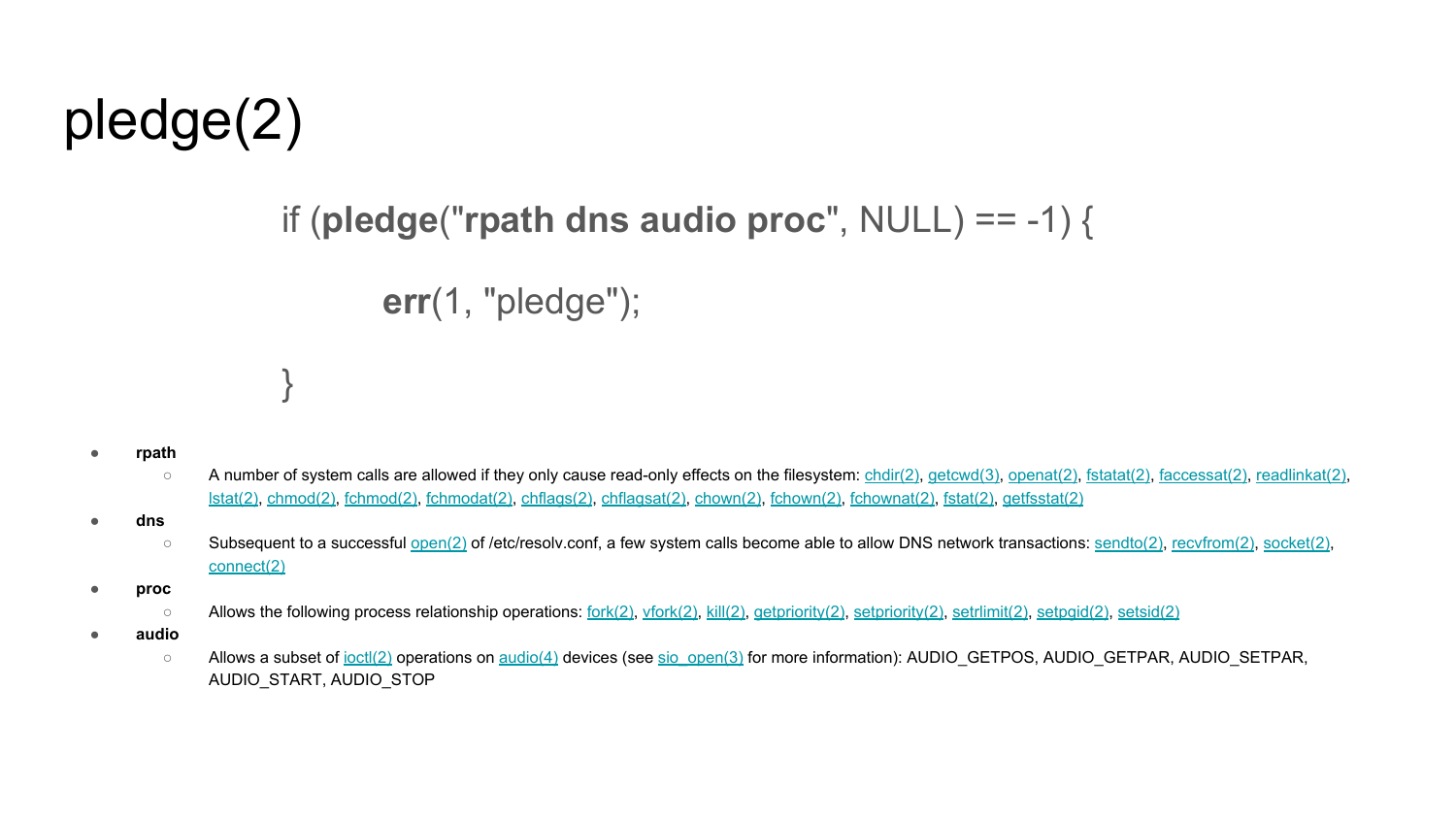#### pledge(2)

}

#### if (**pledge**("**rpath dns audio proc**", NULL) == -1) {

**err**(1, "pledge");

- **● rpath**
	- A number of system calls are allowed if they only cause read-only effects on the filesystem[: chdir\(2\),](http://man.openbsd.org/chdir.2) [getcwd\(3\)](http://man.openbsd.org/getcwd.3)[, openat\(2\),](http://man.openbsd.org/openat.2) [fstatat\(2\),](http://man.openbsd.org/fstatat.2) [faccessat\(2\),](http://man.openbsd.org/faccessat.2) [readlinkat\(2\),](http://man.openbsd.org/readlinkat.2) [lstat\(2\),](http://man.openbsd.org/lstat.2) [chmod\(2\)](http://man.openbsd.org/chmod.2)[, fchmod\(2\)](http://man.openbsd.org/fchmod.2), [fchmodat\(2\)](http://man.openbsd.org/fchmodat.2), [chflags\(2\)](http://man.openbsd.org/chflags.2)[, chflagsat\(2\)](http://man.openbsd.org/chflagsat.2)[, chown\(2\)](http://man.openbsd.org/chown.2), [fchown\(2\)](http://man.openbsd.org/fchown.2)[, fchownat\(2\)](http://man.openbsd.org/fchownat.2)[, fstat\(2\)](http://man.openbsd.org/fstat.2), [getfsstat\(2\)](http://man.openbsd.org/getfsstat.2)
- **● dns**
	- Subsequent to a successfu[l open\(2\)](http://man.openbsd.org/open.2) of /etc/resolv.conf, a few system calls become able to allow DNS network transactions[: sendto\(2\)](http://man.openbsd.org/sendto.2)[, recvfrom\(2\)](http://man.openbsd.org/recvfrom.2), [socket\(2\),](http://man.openbsd.org/socket.2) [connect\(2\)](http://man.openbsd.org/connect.2)
- **● proc**
	- Allows the following process relationship operations[: fork\(2\)](http://man.openbsd.org/fork.2), [vfork\(2\)](http://man.openbsd.org/vfork.2)[, kill\(2\)](http://man.openbsd.org/kill.2), [getpriority\(2\),](http://man.openbsd.org/getpriority.2) [setpriority\(2\),](http://man.openbsd.org/setpriority.2) [setrlimit\(2\)](http://man.openbsd.org/setrlimit.2), [setpgid\(2\)](http://man.openbsd.org/setpgid.2), [setsid\(2\)](http://man.openbsd.org/setsid.2)
- **● audio**
	- Allows a subset of [ioctl\(2\)](http://man.openbsd.org/ioctl.2) operations on [audio\(4\)](http://man.openbsd.org/audio.4) devices (se[e sio\\_open\(3\)](http://man.openbsd.org/sio_open.3) for more information): AUDIO\_GETPOS, AUDIO\_GETPAR, AUDIO\_SETPAR, AUDIO\_START, AUDIO\_STOP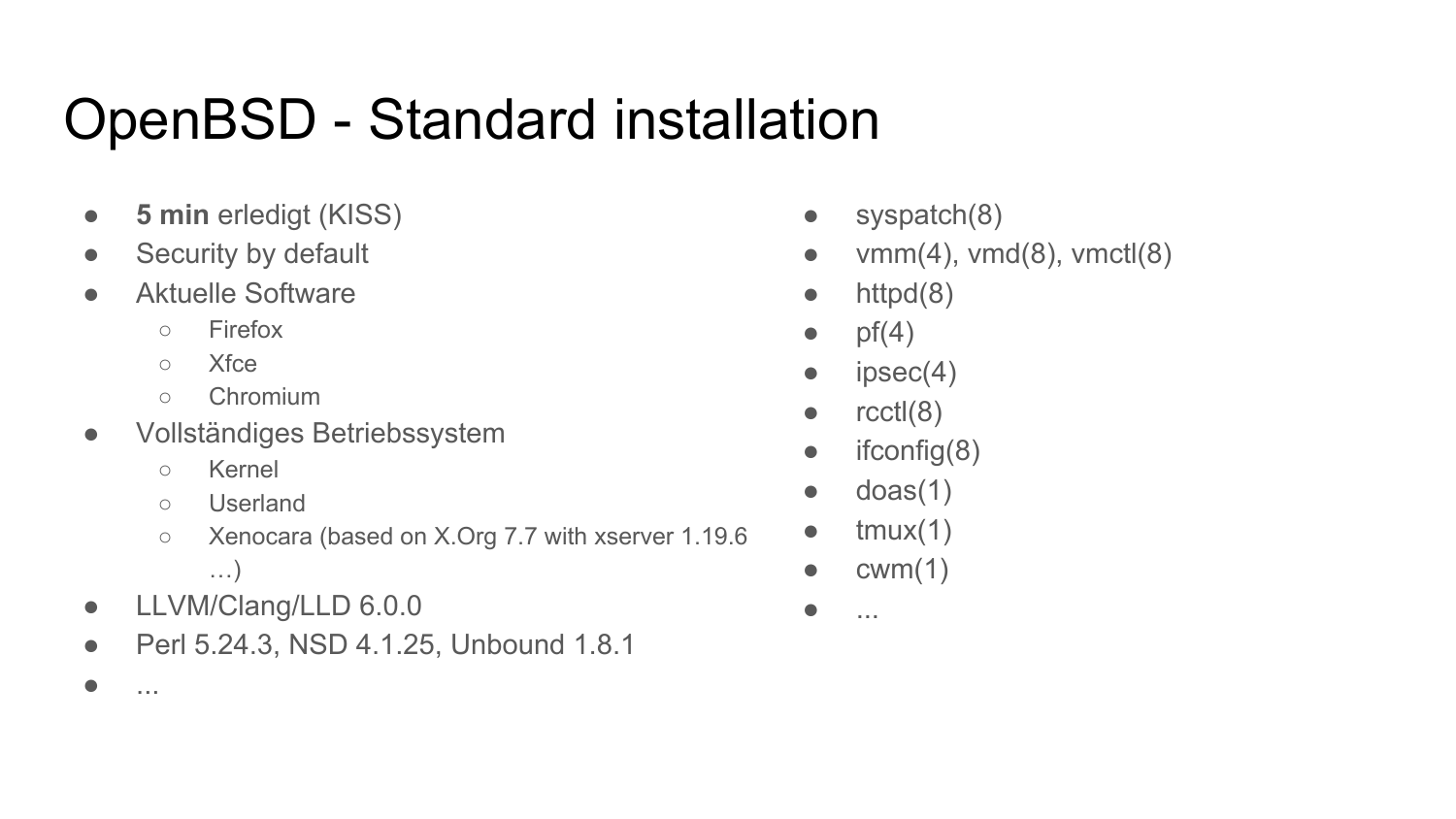#### OpenBSD - Standard installation

- **5 min** erledigt (KISS)
- Security by default
- Aktuelle Software
	- Firefox
	- Xfce
	- Chromium
- Vollständiges Betriebssystem
	- Kernel

 $\bullet$  ...

- Userland
- Xenocara (based on X.Org 7.7 with xserver 1.19.6 …)
- LLVM/Clang/LLD 6.0.0
- Perl 5.24.3, NSD 4.1.25, Unbound 1.8.1
- $\bullet$  syspatch $(8)$
- $\bullet$  vmm(4), vmd(8), vmct $(8)$
- $\bullet$  httpd $(8)$
- $\bullet$  pf(4)
- $\bullet$  ipsec(4)
- $\bullet$  rcctl $(8)$
- $\bullet$  ifconfig(8)
- $\bullet$  doas(1)
- $\bullet$  tmux(1)
- $\bullet$  cwm(1)
- ...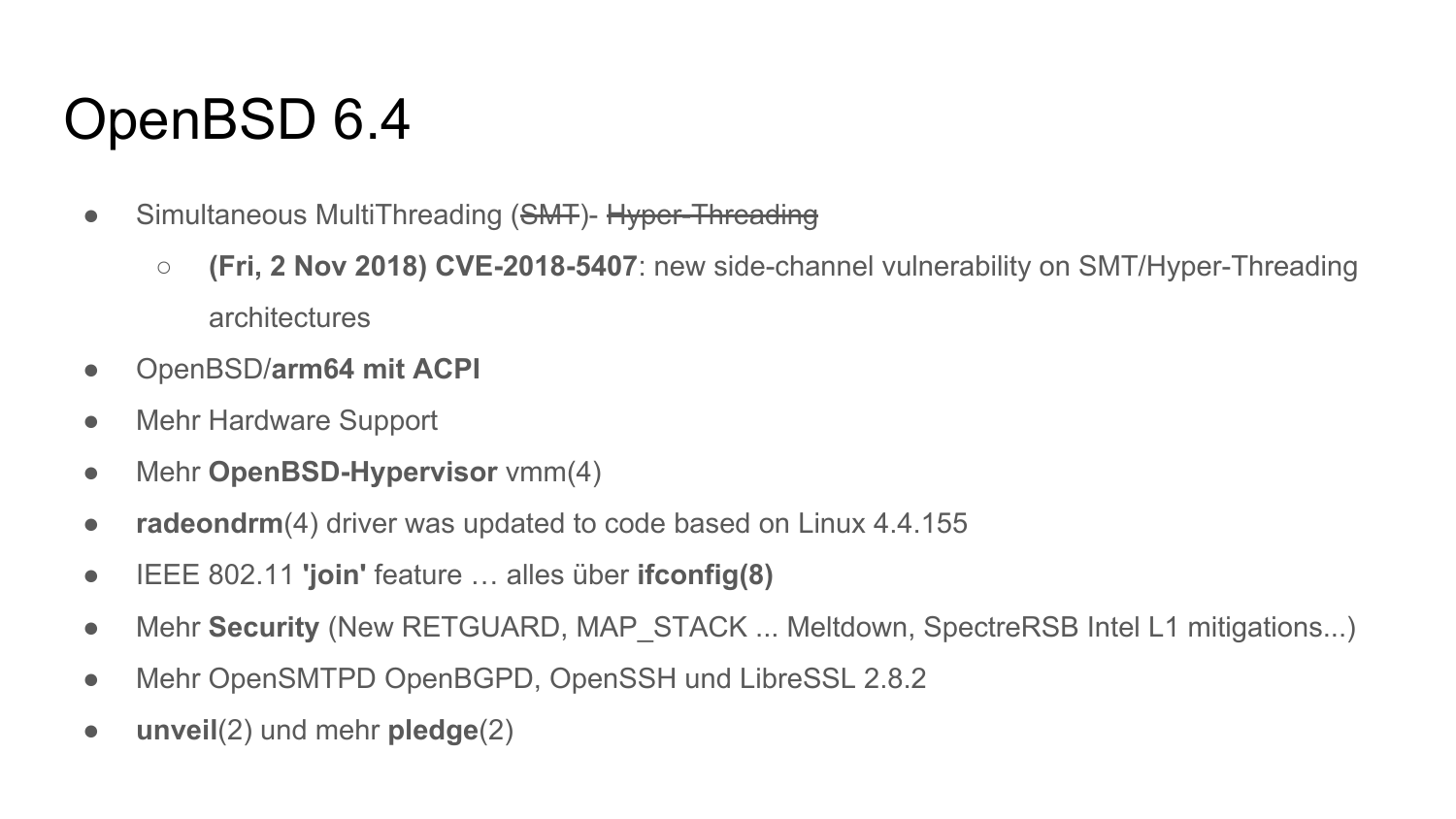#### OpenBSD 6.4

- Simultaneous MultiThreading (SMT)- Hyper-Threading
	- **(Fri, 2 Nov 2018) CVE-2018-5407**: new side-channel vulnerability on SMT/Hyper-Threading architectures
- OpenBSD/**arm64 mit ACPI**
- Mehr Hardware Support
- Mehr **OpenBSD-Hypervisor** vmm(4)
- **radeondrm**(4) driver was updated to code based on Linux 4.4.155
- IEEE 802.11 **'join'** feature … alles über **ifconfig(8)**
- Mehr **Security** (New RETGUARD, MAP STACK ... Meltdown, SpectreRSB Intel L1 mitigations...)
- Mehr OpenSMTPD OpenBGPD, OpenSSH und LibreSSL 2.8.2
- **unveil**(2) und mehr **pledge**(2)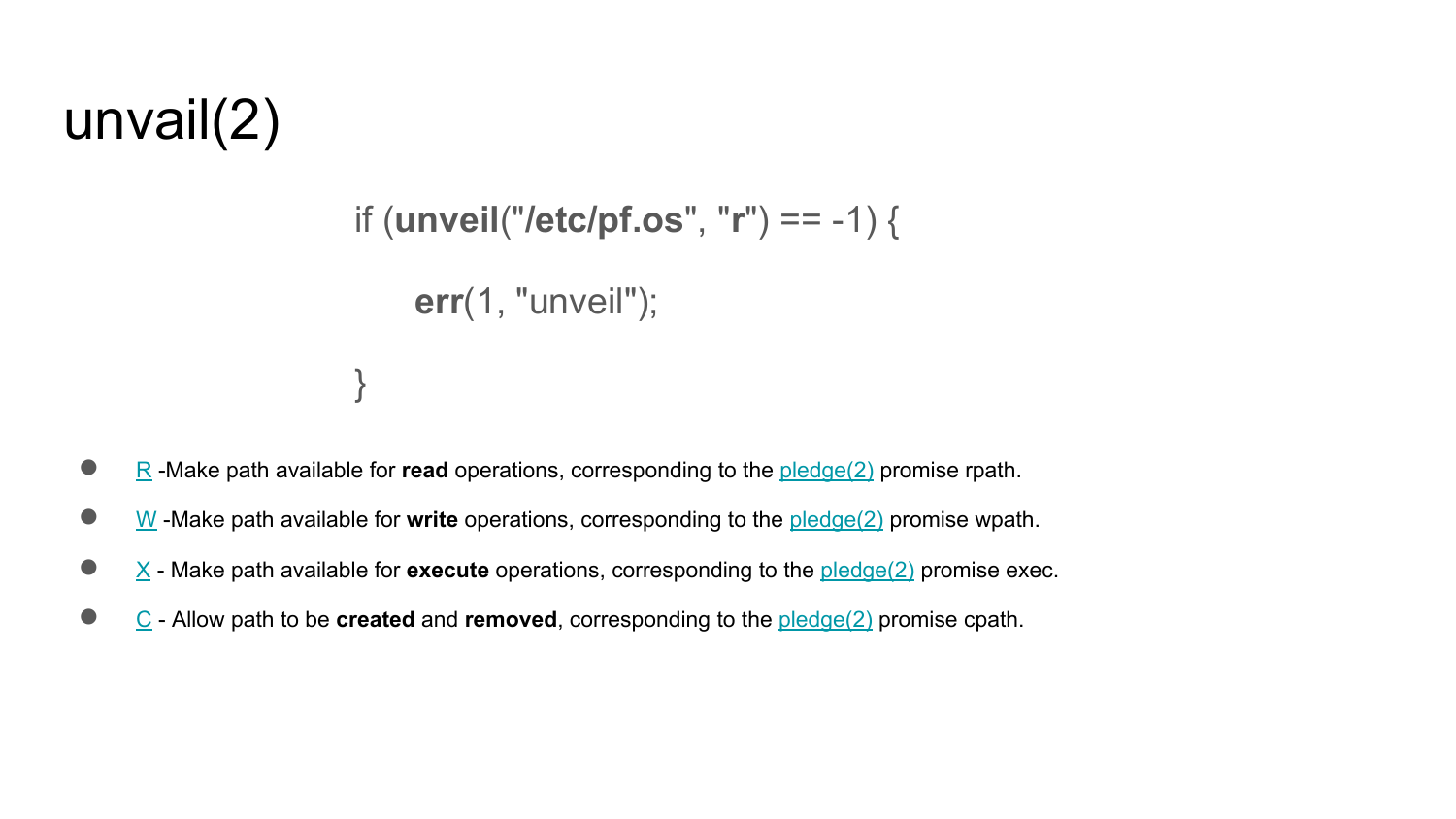#### unvail(2)

```
if (unveil("/etc/pf.os", "r") == -1) {
     err(1, "unveil");
}
```
- [R](http://man.openbsd.org/unveil.2#r) -Make path available for **read** operations, corresponding to the [pledge\(2\)](http://man.openbsd.org/pledge.2) promise rpath.
- [W](http://man.openbsd.org/unveil.2#w) -Make path available for **write** operations, corresponding to th[e pledge\(2\)](http://man.openbsd.org/pledge.2) promise wpath.
- [X](http://man.openbsd.org/unveil.2#x)  Make path available for **execute** operations, corresponding to the [pledge\(2\)](http://man.openbsd.org/pledge.2) promise exec.
- [C](http://man.openbsd.org/unveil.2#c) Allow path to be **created** and **removed**, corresponding to the [pledge\(2\)](http://man.openbsd.org/pledge.2) promise cpath.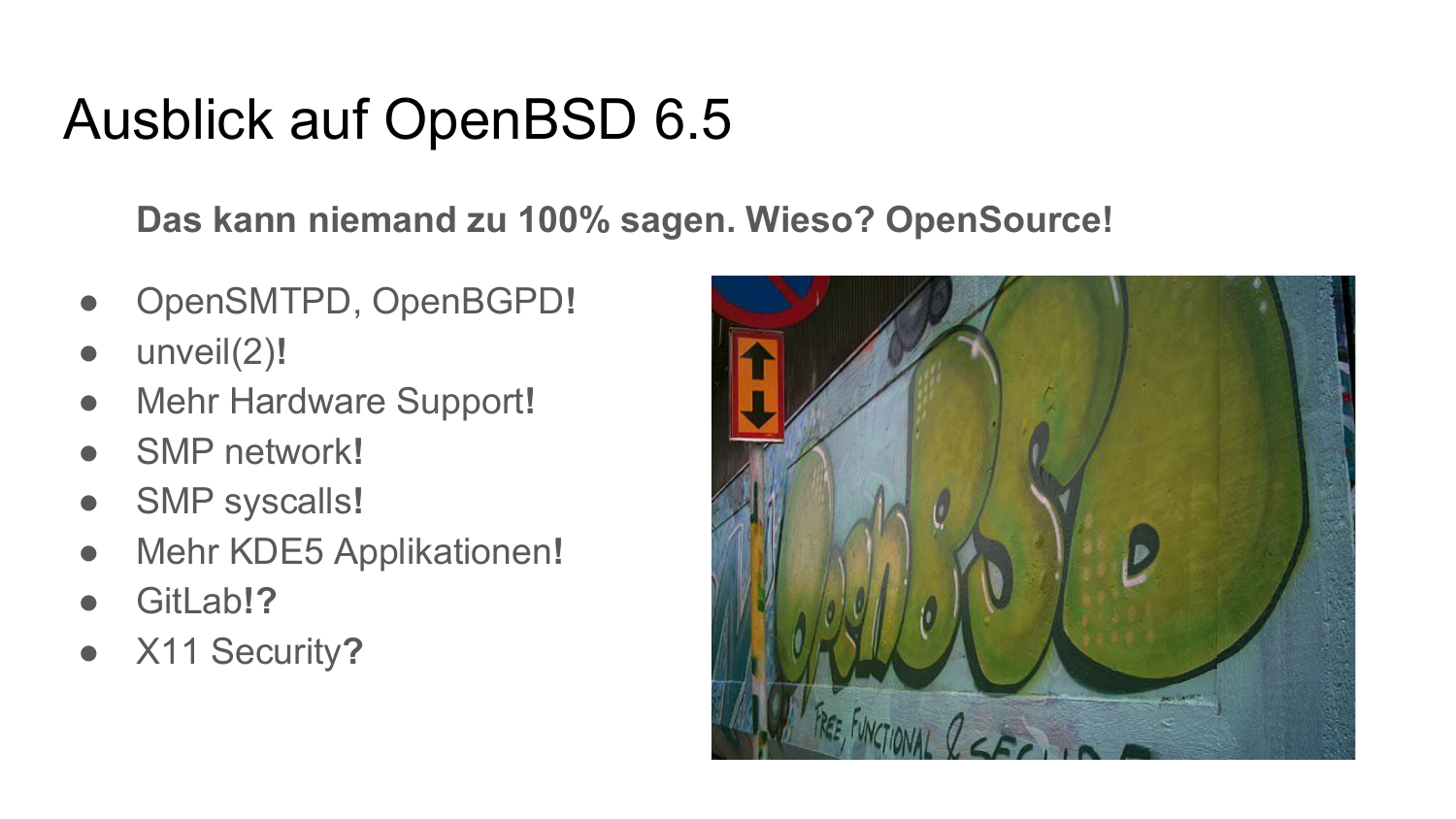#### Ausblick auf OpenBSD 6.5

**Das kann niemand zu 100% sagen. Wieso? OpenSource!**

- OpenSMTPD, OpenBGPD**!**
- unveil(2)**!**
- Mehr Hardware Support**!**
- SMP network**!**
- SMP syscalls!
- Mehr KDE5 Applikationen**!**
- GitLab**!?**
- **●** X11 Security**?**

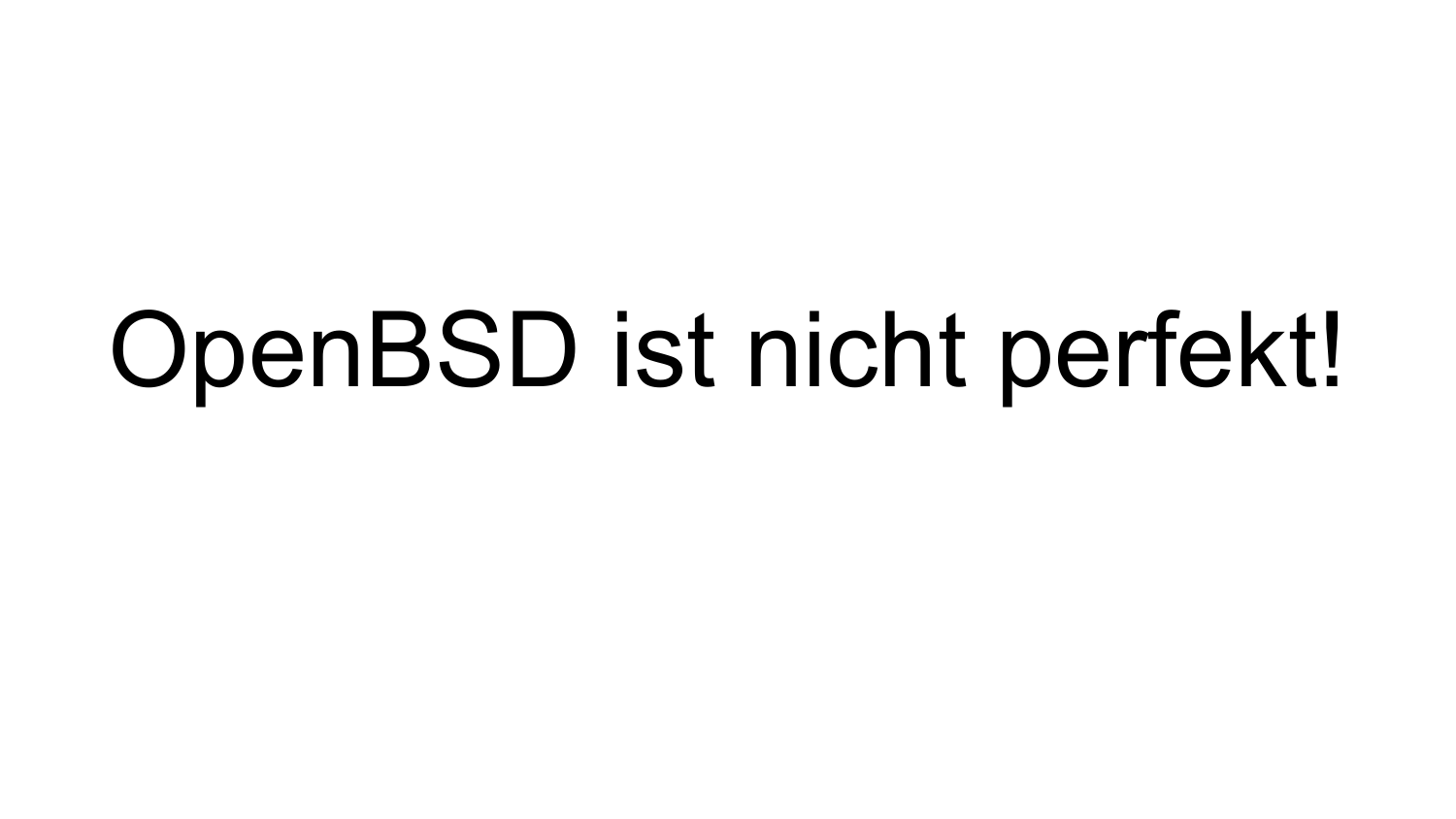## OpenBSD ist nicht perfekt!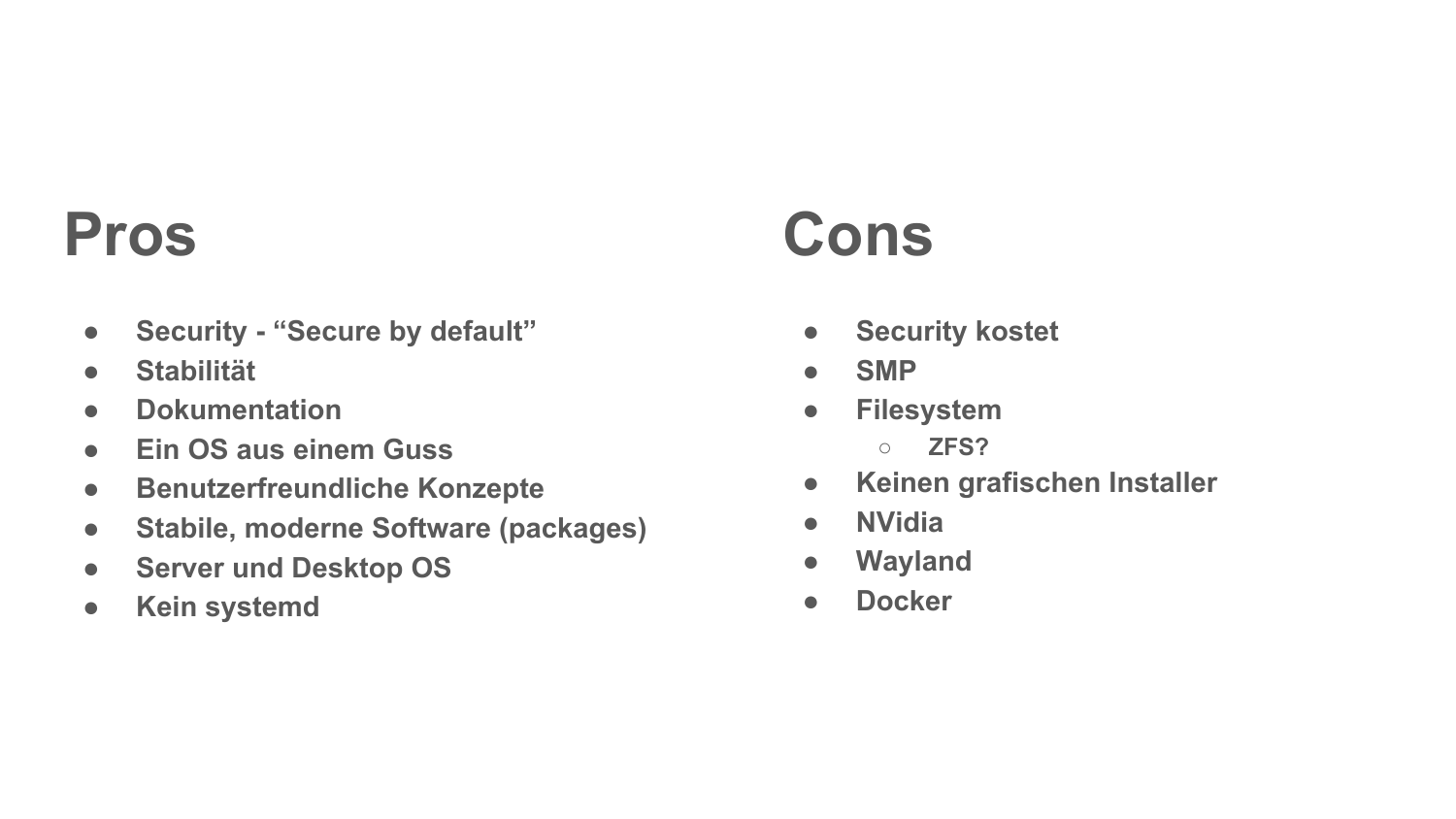#### **Pros**

- **● Security "Secure by default"**
- **● Stabilität**
- **● Dokumentation**
- **● Ein OS aus einem Guss**
- **● Benutzerfreundliche Konzepte**
- **● Stabile, moderne Software (packages)**
- **● Server und Desktop OS**
- **● Kein systemd**

## **Cons**

- **● Security kostet**
- **● SMP**
- **● Filesystem**
	- **○ ZFS?**
- **● Keinen grafischen Installer**
- **● NVidia**
- **● Wayland**
- **● Docker**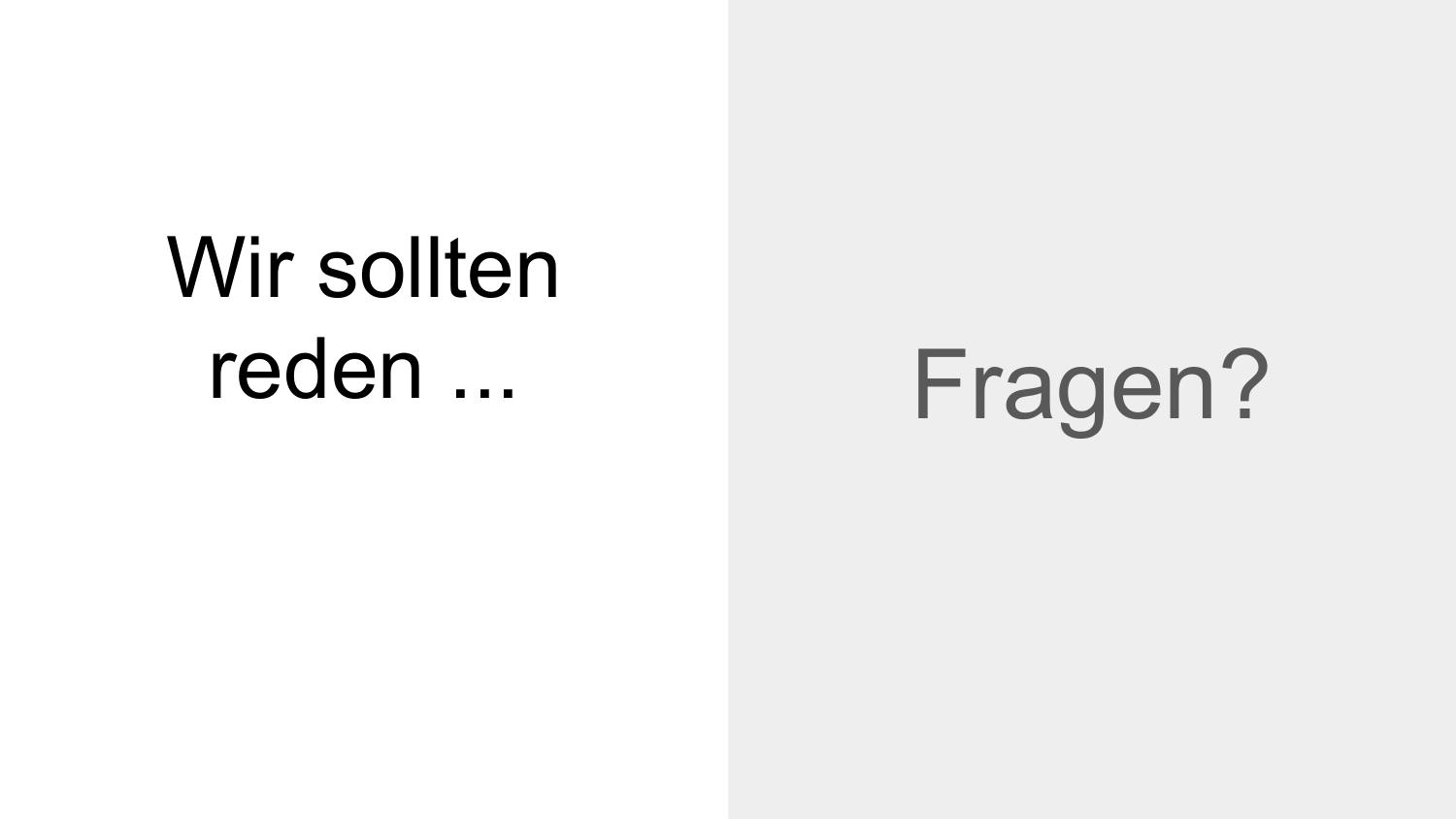# Wir sollten